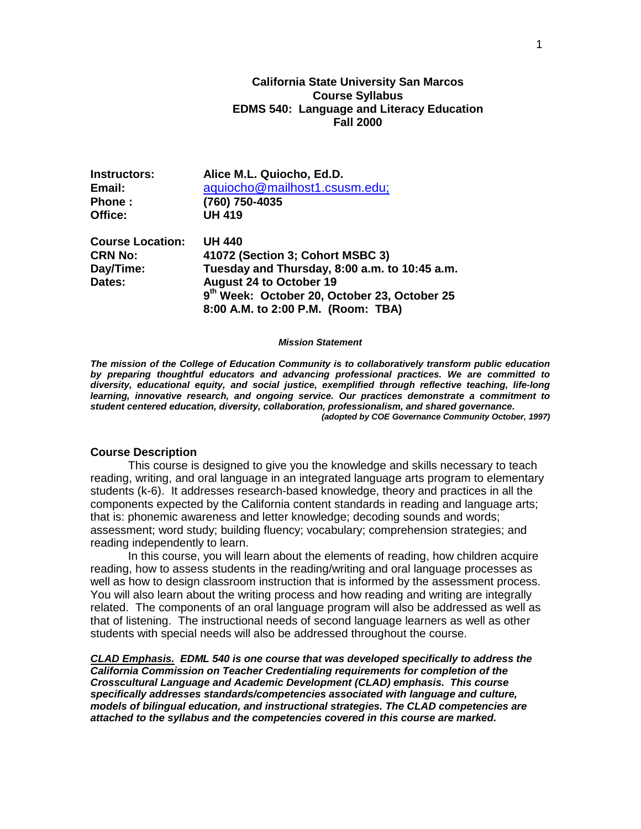# **California State University San Marcos Course Syllabus EDMS 540: Language and Literacy Education Fall 2000**

| Instructors:            | Alice M.L. Quiocho, Ed.D.                     |  |  |
|-------------------------|-----------------------------------------------|--|--|
| Email:                  | aquiocho@mailhost1.csusm.edu;                 |  |  |
| <b>Phone</b> :          | (760) 750-4035                                |  |  |
| Office:                 | <b>UH 419</b>                                 |  |  |
| <b>Course Location:</b> | <b>UH 440</b>                                 |  |  |
| <b>CRN No:</b>          | 41072 (Section 3; Cohort MSBC 3)              |  |  |
| Day/Time:               | Tuesday and Thursday, 8:00 a.m. to 10:45 a.m. |  |  |
| Dates:                  | <b>August 24 to October 19</b>                |  |  |
|                         | 9th Week: October 20, October 23, October 25  |  |  |
|                         | 8:00 A.M. to 2:00 P.M. (Room: TBA)            |  |  |

#### *Mission Statement*

*The mission of the College of Education Community is to collaboratively transform public education by preparing thoughtful educators and advancing professional practices. We are committed to diversity, educational equity, and social justice, exemplified through reflective teaching, life-long learning, innovative research, and ongoing service. Our practices demonstrate a commitment to student centered education, diversity, collaboration, professionalism, and shared governance. (adopted by COE Governance Community October, 1997)*

#### **Course Description**

This course is designed to give you the knowledge and skills necessary to teach reading, writing, and oral language in an integrated language arts program to elementary students (k-6). It addresses research-based knowledge, theory and practices in all the components expected by the California content standards in reading and language arts; that is: phonemic awareness and letter knowledge; decoding sounds and words; assessment; word study; building fluency; vocabulary; comprehension strategies; and reading independently to learn.

In this course, you will learn about the elements of reading, how children acquire reading, how to assess students in the reading/writing and oral language processes as well as how to design classroom instruction that is informed by the assessment process. You will also learn about the writing process and how reading and writing are integrally related. The components of an oral language program will also be addressed as well as that of listening. The instructional needs of second language learners as well as other students with special needs will also be addressed throughout the course.

*CLAD Emphasis. EDML 540 is one course that was developed specifically to address the California Commission on Teacher Credentialing requirements for completion of the Crosscultural Language and Academic Development (CLAD) emphasis. This course specifically addresses standards/competencies associated with language and culture, models of bilingual education, and instructional strategies. The CLAD competencies are attached to the syllabus and the competencies covered in this course are marked.*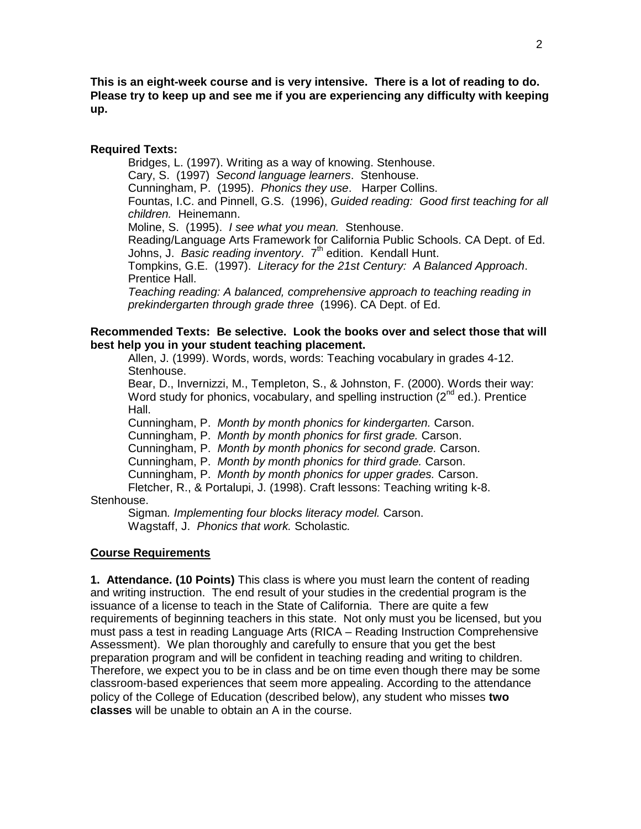**This is an eight-week course and is very intensive. There is a lot of reading to do. Please try to keep up and see me if you are experiencing any difficulty with keeping up.**

### **Required Texts:**

Bridges, L. (1997). Writing as a way of knowing. Stenhouse. Cary, S. (1997) *Second language learners*. Stenhouse. Cunningham, P. (1995). *Phonics they use*. Harper Collins. Fountas, I.C. and Pinnell, G.S. (1996), *Guided reading: Good first teaching for all children.* Heinemann. Moline, S. (1995). *I see what you mean.* Stenhouse. Reading/Language Arts Framework for California Public Schools. CA Dept. of Ed. Johns, J. *Basic reading inventory*. 7th edition. Kendall Hunt. Tompkins, G.E. (1997). *Literacy for the 21st Century: A Balanced Approach*. Prentice Hall.

*Teaching reading: A balanced, comprehensive approach to teaching reading in prekindergarten through grade three* (1996). CA Dept. of Ed.

# **Recommended Texts: Be selective. Look the books over and select those that will best help you in your student teaching placement.**

Allen, J. (1999). Words, words, words: Teaching vocabulary in grades 4-12. Stenhouse.

Bear, D., Invernizzi, M., Templeton, S., & Johnston, F. (2000). Words their way: Word study for phonics, vocabulary, and spelling instruction  $(2^{nd}$  ed.). Prentice Hall.

Cunningham, P. *Month by month phonics for kindergarten.* Carson.

Cunningham, P. *Month by month phonics for first grade.* Carson.

Cunningham, P. *Month by month phonics for second grade.* Carson.

Cunningham, P. *Month by month phonics for third grade.* Carson.

Cunningham, P. *Month by month phonics for upper grades.* Carson.

Fletcher, R., & Portalupi, J. (1998). Craft lessons: Teaching writing k-8. Stenhouse.

Sigman*. Implementing four blocks literacy model.* Carson. Wagstaff, J. *Phonics that work.* Scholastic*.*

# **Course Requirements**

**1. Attendance. (10 Points)** This class is where you must learn the content of reading and writing instruction. The end result of your studies in the credential program is the issuance of a license to teach in the State of California. There are quite a few requirements of beginning teachers in this state. Not only must you be licensed, but you must pass a test in reading Language Arts (RICA – Reading Instruction Comprehensive Assessment). We plan thoroughly and carefully to ensure that you get the best preparation program and will be confident in teaching reading and writing to children. Therefore, we expect you to be in class and be on time even though there may be some classroom-based experiences that seem more appealing. According to the attendance policy of the College of Education (described below), any student who misses **two classes** will be unable to obtain an A in the course.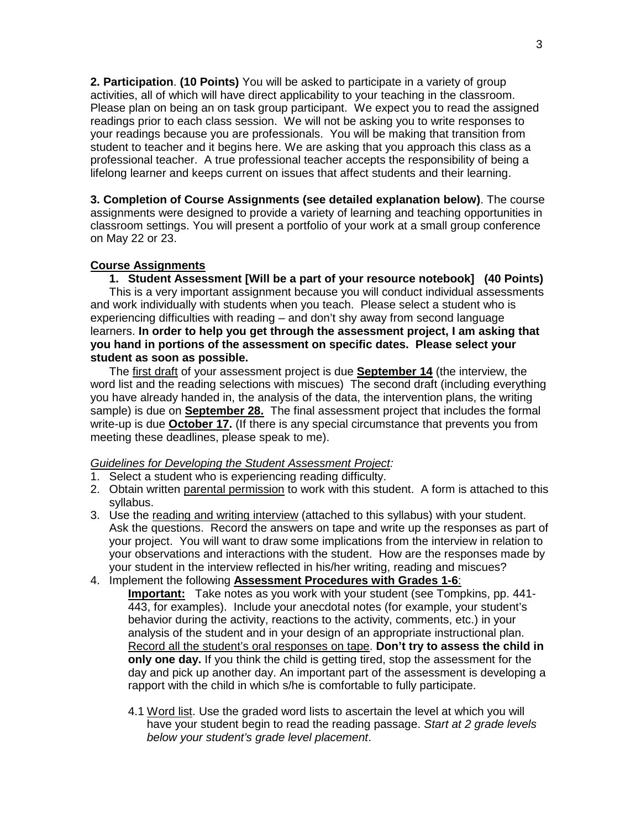**2. Participation**. **(10 Points)** You will be asked to participate in a variety of group activities, all of which will have direct applicability to your teaching in the classroom. Please plan on being an on task group participant.We expect you to read the assigned readings prior to each class session. We will not be asking you to write responses to your readings because you are professionals. You will be making that transition from student to teacher and it begins here. We are asking that you approach this class as a professional teacher. A true professional teacher accepts the responsibility of being a lifelong learner and keeps current on issues that affect students and their learning.

**3. Completion of Course Assignments (see detailed explanation below)**. The course assignments were designed to provide a variety of learning and teaching opportunities in classroom settings. You will present a portfolio of your work at a small group conference on May 22 or 23.

# **Course Assignments**

**1. Student Assessment [Will be a part of your resource notebook] (40 Points)**  This is a very important assignment because you will conduct individual assessments and work individually with students when you teach. Please select a student who is experiencing difficulties with reading – and don't shy away from second language learners. **In order to help you get through the assessment project, I am asking that you hand in portions of the assessment on specific dates. Please select your student as soon as possible.**

The first draft of your assessment project is due **September 14** (the interview, the word list and the reading selections with miscues) The second draft (including everything you have already handed in, the analysis of the data, the intervention plans, the writing sample) is due on **September 28.** The final assessment project that includes the formal write-up is due **October 17.** (If there is any special circumstance that prevents you from meeting these deadlines, please speak to me).

# *Guidelines for Developing the Student Assessment Project:*

- 1. Select a student who is experiencing reading difficulty.
- 2. Obtain written parental permission to work with this student. A form is attached to this syllabus.
- 3. Use the reading and writing interview (attached to this syllabus) with your student. Ask the questions. Record the answers on tape and write up the responses as part of your project. You will want to draw some implications from the interview in relation to your observations and interactions with the student. How are the responses made by your student in the interview reflected in his/her writing, reading and miscues?
- 4. Implement the following **Assessment Procedures with Grades 1-6**: **Important:** Take notes as you work with your student (see Tompkins, pp. 441- 443, for examples). Include your anecdotal notes (for example, your student's behavior during the activity, reactions to the activity, comments, etc.) in your analysis of the student and in your design of an appropriate instructional plan. Record all the student's oral responses on tape. **Don't try to assess the child in only one day.** If you think the child is getting tired, stop the assessment for the day and pick up another day. An important part of the assessment is developing a rapport with the child in which s/he is comfortable to fully participate.
	- 4.1 Word list. Use the graded word lists to ascertain the level at which you will have your student begin to read the reading passage. *Start at 2 grade levels below your student's grade level placement*.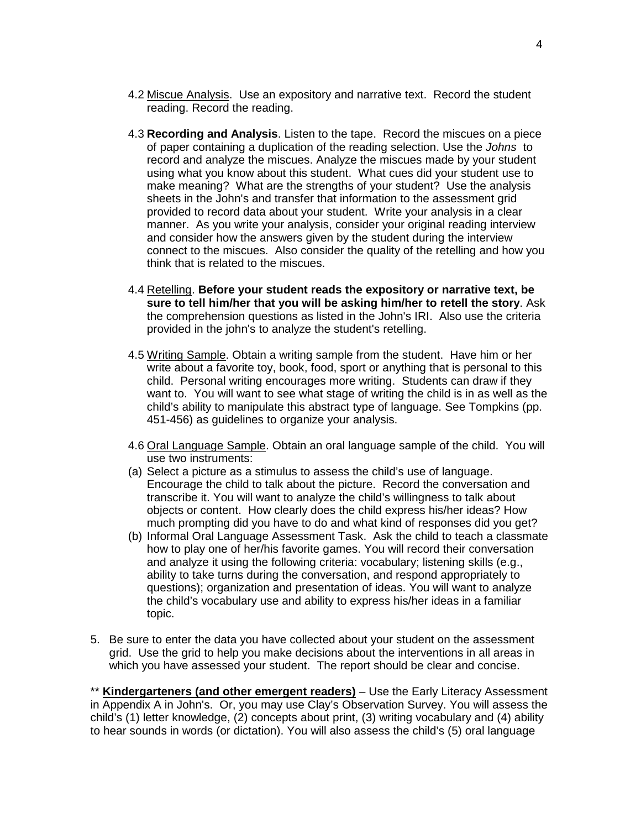- 4.2 Miscue Analysis. Use an expository and narrative text. Record the student reading. Record the reading.
- 4.3 **Recording and Analysis**. Listen to the tape. Record the miscues on a piece of paper containing a duplication of the reading selection. Use the *Johns* to record and analyze the miscues. Analyze the miscues made by your student using what you know about this student. What cues did your student use to make meaning? What are the strengths of your student? Use the analysis sheets in the John's and transfer that information to the assessment grid provided to record data about your student. Write your analysis in a clear manner. As you write your analysis, consider your original reading interview and consider how the answers given by the student during the interview connect to the miscues. Also consider the quality of the retelling and how you think that is related to the miscues.
- 4.4 Retelling. **Before your student reads the expository or narrative text, be sure to tell him/her that you will be asking him/her to retell the story**. Ask the comprehension questions as listed in the John's IRI. Also use the criteria provided in the john's to analyze the student's retelling.
- 4.5 Writing Sample. Obtain a writing sample from the student. Have him or her write about a favorite toy, book, food, sport or anything that is personal to this child. Personal writing encourages more writing. Students can draw if they want to. You will want to see what stage of writing the child is in as well as the child's ability to manipulate this abstract type of language. See Tompkins (pp. 451-456) as guidelines to organize your analysis.
- 4.6 Oral Language Sample. Obtain an oral language sample of the child. You will use two instruments:
- (a) Select a picture as a stimulus to assess the child's use of language. Encourage the child to talk about the picture. Record the conversation and transcribe it. You will want to analyze the child's willingness to talk about objects or content. How clearly does the child express his/her ideas? How much prompting did you have to do and what kind of responses did you get?
- (b) Informal Oral Language Assessment Task. Ask the child to teach a classmate how to play one of her/his favorite games. You will record their conversation and analyze it using the following criteria: vocabulary; listening skills (e.g., ability to take turns during the conversation, and respond appropriately to questions); organization and presentation of ideas. You will want to analyze the child's vocabulary use and ability to express his/her ideas in a familiar topic.
- 5. Be sure to enter the data you have collected about your student on the assessment grid. Use the grid to help you make decisions about the interventions in all areas in which you have assessed your student. The report should be clear and concise.

\*\* **Kindergarteners (and other emergent readers)** – Use the Early Literacy Assessment in Appendix A in John's. Or, you may use Clay's Observation Survey. You will assess the child's (1) letter knowledge, (2) concepts about print, (3) writing vocabulary and (4) ability to hear sounds in words (or dictation). You will also assess the child's (5) oral language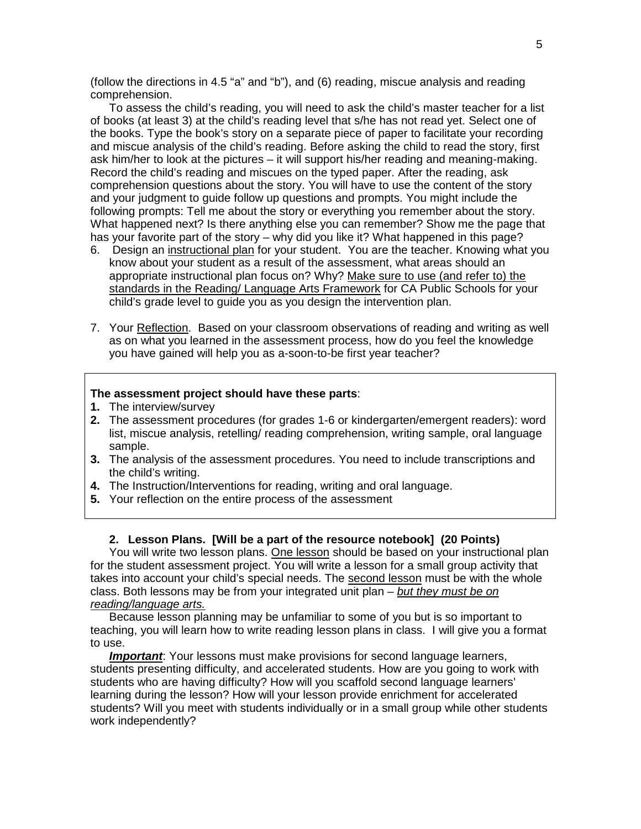(follow the directions in 4.5 "a" and "b"), and (6) reading, miscue analysis and reading comprehension.

To assess the child's reading, you will need to ask the child's master teacher for a list of books (at least 3) at the child's reading level that s/he has not read yet. Select one of the books. Type the book's story on a separate piece of paper to facilitate your recording and miscue analysis of the child's reading. Before asking the child to read the story, first ask him/her to look at the pictures – it will support his/her reading and meaning-making. Record the child's reading and miscues on the typed paper. After the reading, ask comprehension questions about the story. You will have to use the content of the story and your judgment to guide follow up questions and prompts. You might include the following prompts: Tell me about the story or everything you remember about the story. What happened next? Is there anything else you can remember? Show me the page that has your favorite part of the story – why did you like it? What happened in this page?

- 6. Design an instructional plan for your student. You are the teacher. Knowing what you know about your student as a result of the assessment, what areas should an appropriate instructional plan focus on? Why? Make sure to use (and refer to) the standards in the Reading/ Language Arts Framework for CA Public Schools for your child's grade level to guide you as you design the intervention plan.
- 7. Your Reflection. Based on your classroom observations of reading and writing as well as on what you learned in the assessment process, how do you feel the knowledge you have gained will help you as a-soon-to-be first year teacher?

### **The assessment project should have these parts**:

- **1.** The interview/survey
- **2.** The assessment procedures (for grades 1-6 or kindergarten/emergent readers): word list, miscue analysis, retelling/ reading comprehension, writing sample, oral language sample.
- **3.** The analysis of the assessment procedures. You need to include transcriptions and the child's writing.
- **4.** The Instruction/Interventions for reading, writing and oral language.
- **5.** Your reflection on the entire process of the assessment

#### **2. Lesson Plans. [Will be a part of the resource notebook] (20 Points)**

You will write two lesson plans. One lesson should be based on your instructional plan for the student assessment project. You will write a lesson for a small group activity that takes into account your child's special needs. The second lesson must be with the whole class. Both lessons may be from your integrated unit plan – *but they must be on reading/language arts.*

Because lesson planning may be unfamiliar to some of you but is so important to teaching, you will learn how to write reading lesson plans in class. I will give you a format to use.

*Important*: Your lessons must make provisions for second language learners, students presenting difficulty, and accelerated students. How are you going to work with students who are having difficulty? How will you scaffold second language learners' learning during the lesson? How will your lesson provide enrichment for accelerated students? Will you meet with students individually or in a small group while other students work independently?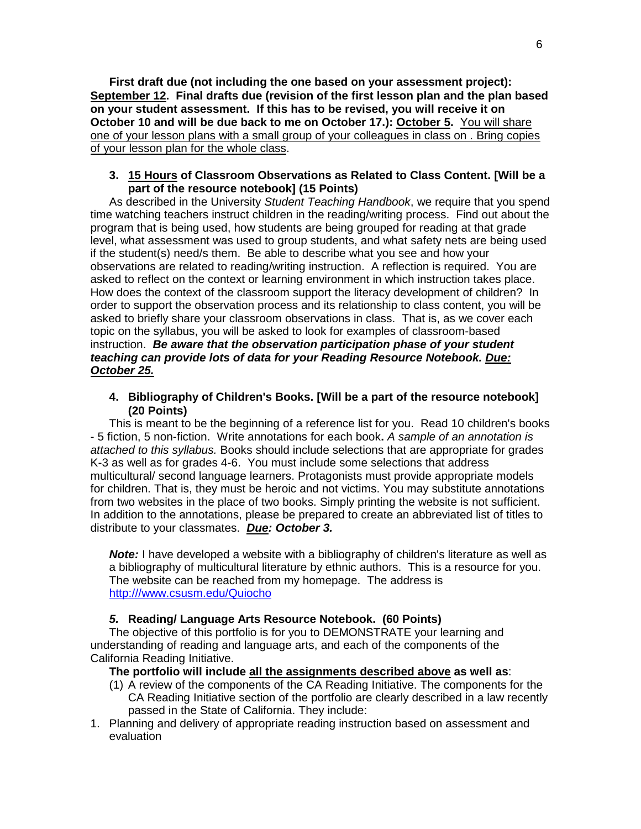**First draft due (not including the one based on your assessment project): September 12. Final drafts due (revision of the first lesson plan and the plan based on your student assessment. If this has to be revised, you will receive it on October 10 and will be due back to me on October 17.): October 5.** You will share one of your lesson plans with a small group of your colleagues in class on . Bring copies of your lesson plan for the whole class.

# **3. 15 Hours of Classroom Observations as Related to Class Content. [Will be a part of the resource notebook] (15 Points)**

As described in the University *Student Teaching Handbook*, we require that you spend time watching teachers instruct children in the reading/writing process. Find out about the program that is being used, how students are being grouped for reading at that grade level, what assessment was used to group students, and what safety nets are being used if the student(s) need/s them. Be able to describe what you see and how your observations are related to reading/writing instruction.A reflection is required. You are asked to reflect on the context or learning environment in which instruction takes place. How does the context of the classroom support the literacy development of children? In order to support the observation process and its relationship to class content, you will be asked to briefly share your classroom observations in class. That is, as we cover each topic on the syllabus, you will be asked to look for examples of classroom-based instruction. *Be aware that the observation participation phase of your student teaching can provide lots of data for your Reading Resource Notebook. Due: October 25.*

**4. Bibliography of Children's Books. [Will be a part of the resource notebook] (20 Points)**

This is meant to be the beginning of a reference list for you. Read 10 children's books - 5 fiction, 5 non-fiction. Write annotations for each book**.** *A sample of an annotation is attached to this syllabus.* Books should include selections that are appropriate for grades K-3 as well as for grades 4-6. You must include some selections that address multicultural/ second language learners. Protagonists must provide appropriate models for children. That is, they must be heroic and not victims. You may substitute annotations from two websites in the place of two books. Simply printing the website is not sufficient. In addition to the annotations, please be prepared to create an abbreviated list of titles to distribute to your classmates. *Due: October 3.* 

**Note:** I have developed a website with a bibliography of children's literature as well as a bibliography of multicultural literature by ethnic authors. This is a resource for you. The website can be reached from my homepage. The address is [http:///www.csusm.edu/Quiocho](http://www.csusm.edu/Quiocho)

#### *5.* **Reading/ Language Arts Resource Notebook. (60 Points)**

The objective of this portfolio is for you to DEMONSTRATE your learning and understanding of reading and language arts, and each of the components of the California Reading Initiative.

#### **The portfolio will include all the assignments described above as well as**:

- (1) A review of the components of the CA Reading Initiative. The components for the CA Reading Initiative section of the portfolio are clearly described in a law recently passed in the State of California. They include:
- 1. Planning and delivery of appropriate reading instruction based on assessment and evaluation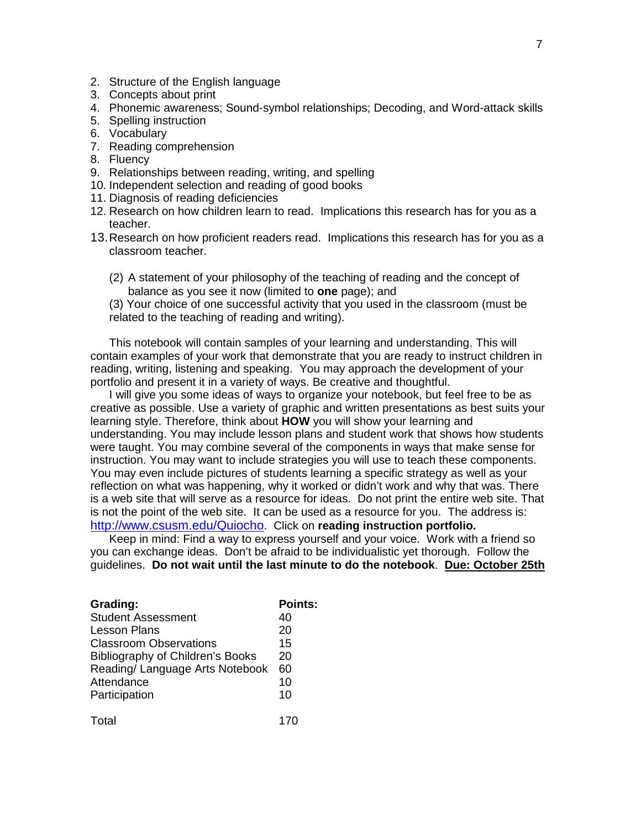- 2. Structure of the English language
- 3. Concepts about print
- 4. Phonemic awareness; Sound-symbol relationships; Decoding, and Word-attack skills
- 5. Spelling instruction
- 6. Vocabulary
- 7. Reading comprehension
- 8. Fluency
- 9. Relationships between reading, writing, and spelling
- 10. Independent selection and reading of good books
- 11. Diagnosis of reading deficiencies
- 12. Research on how children learn to read. Implications this research has for you as a teacher.
- 13.Research on how proficient readers read. Implications this research has for you as a classroom teacher.
	- (2) A statement of your philosophy of the teaching of reading and the concept of balance as you see it now (limited to **one** page); and

(3) Your choice of one successful activity that you used in the classroom (must be related to the teaching of reading and writing).

This notebook will contain samples of your learning and understanding. This will contain examples of your work that demonstrate that you are ready to instruct children in reading, writing, listening and speaking.You may approach the development of your portfolio and present it in a variety of ways. Be creative and thoughtful.

I will give you some ideas of ways to organize your notebook, but feel free to be as creative as possible. Use a variety of graphic and written presentations as best suits your learning style. Therefore, think about **HOW** you will show your learning and understanding. You may include lesson plans and student work that shows how students were taught. You may combine several of the components in ways that make sense for instruction. You may want to include strategies you will use to teach these components. You may even include pictures of students learning a specific strategy as well as your reflection on what was happening, why it worked or didn't work and why that was. There is a web site that will serve as a resource for ideas. Do not print the entire web site. That is not the point of the web site. It can be used as a resource for you. The address is: [http://www.csusm.edu/Quiocho.](http://www.csusm.edu/Quiocho) Click on **reading instruction portfolio.**

Keep in mind: Find a way to express yourself and your voice. Work with a friend so you can exchange ideas. Don't be afraid to be individualistic yet thorough. Follow the guidelines. **Do not wait until the last minute to do the notebook**. **Due: October 25th**

| Grading:                         | <b>Points:</b> |
|----------------------------------|----------------|
| <b>Student Assessment</b>        | 40             |
| <b>Lesson Plans</b>              | 20             |
| <b>Classroom Observations</b>    | 15             |
| Bibliography of Children's Books | 20             |
| Reading/ Language Arts Notebook  | 60             |
| Attendance                       | 10             |
| Participation                    | 10             |
| Total                            |                |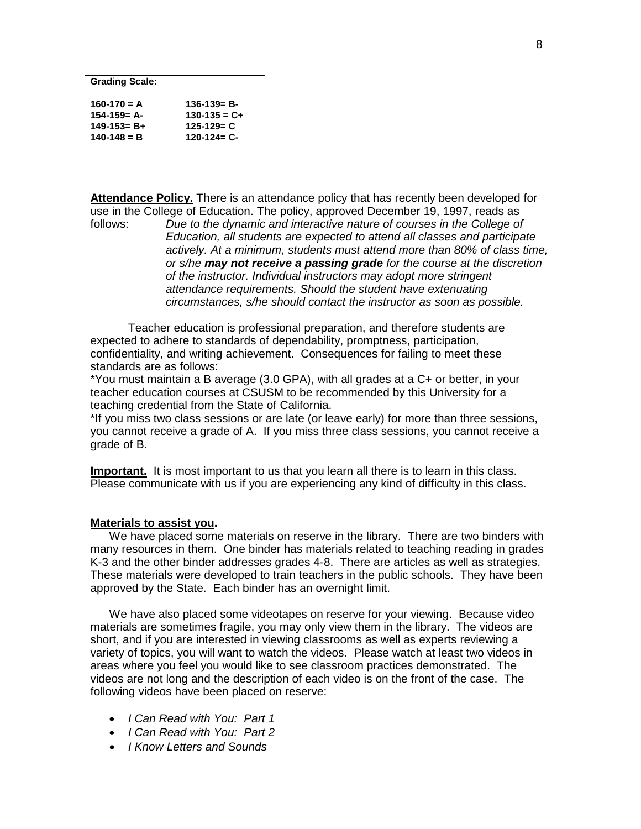| <b>Grading Scale:</b> |                   |
|-----------------------|-------------------|
| $160-170 = A$         | $136-139= B-$     |
| $154 - 159 = A -$     | $130-135 = C +$   |
| $149 - 153 = B +$     | $125 - 129 = C$   |
| $140 - 148 = B$       | $120 - 124 = C -$ |
|                       |                   |

Attendance Policy. There is an attendance policy that has recently been developed for use in the College of Education. The policy, approved December 19, 1997, reads as follows:<br>follows: Due to the dynamic and interactive nature of courses in the College of

Due to the dynamic and interactive nature of courses in the College of *Education, all students are expected to attend all classes and participate actively. At a minimum, students must attend more than 80% of class time, or s/he may not receive a passing grade for the course at the discretion of the instructor. Individual instructors may adopt more stringent attendance requirements. Should the student have extenuating circumstances, s/he should contact the instructor as soon as possible.*

Teacher education is professional preparation, and therefore students are expected to adhere to standards of dependability, promptness, participation, confidentiality, and writing achievement. Consequences for failing to meet these standards are as follows:

\*You must maintain a B average (3.0 GPA), with all grades at a C+ or better, in your teacher education courses at CSUSM to be recommended by this University for a teaching credential from the State of California.

\*If you miss two class sessions or are late (or leave early) for more than three sessions, you cannot receive a grade of A. If you miss three class sessions, you cannot receive a grade of B.

**Important.** It is most important to us that you learn all there is to learn in this class. Please communicate with us if you are experiencing any kind of difficulty in this class.

# **Materials to assist you.**

We have placed some materials on reserve in the library. There are two binders with many resources in them. One binder has materials related to teaching reading in grades K-3 and the other binder addresses grades 4-8. There are articles as well as strategies. These materials were developed to train teachers in the public schools. They have been approved by the State. Each binder has an overnight limit.

We have also placed some videotapes on reserve for your viewing. Because video materials are sometimes fragile, you may only view them in the library. The videos are short, and if you are interested in viewing classrooms as well as experts reviewing a variety of topics, you will want to watch the videos. Please watch at least two videos in areas where you feel you would like to see classroom practices demonstrated. The videos are not long and the description of each video is on the front of the case. The following videos have been placed on reserve:

- *I Can Read with You: Part 1*
- *I Can Read with You: Part 2*
- *I Know Letters and Sounds*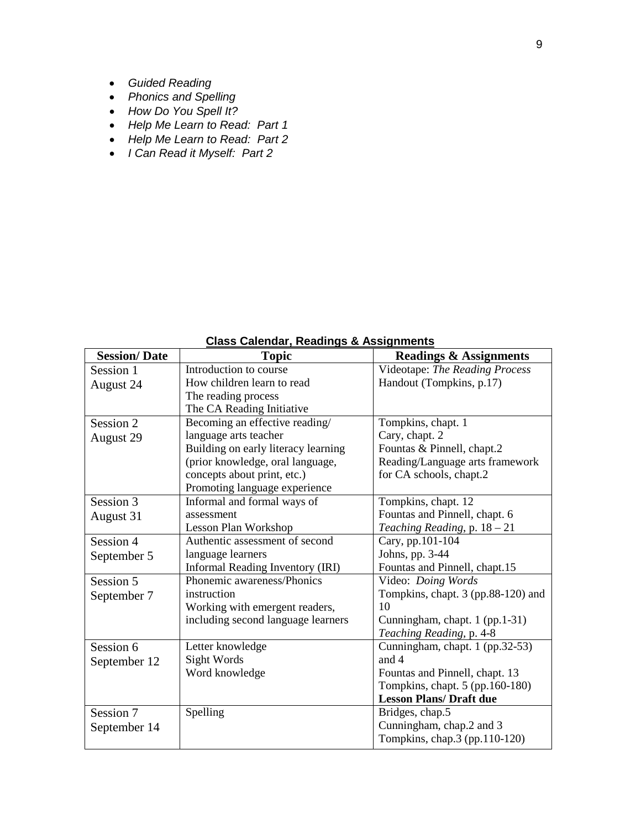- *Guided Reading*
- *Phonics and Spelling*
- *How Do You Spell It?*
- *Help Me Learn to Read: Part 1*
- *Help Me Learn to Read: Part 2*
- *I Can Read it Myself: Part 2*

| <b>Session/Date</b> | <b>Topic</b>                        | <b>Readings &amp; Assignments</b>  |
|---------------------|-------------------------------------|------------------------------------|
| Session 1           | Introduction to course              | Videotape: The Reading Process     |
| August 24           | How children learn to read          | Handout (Tompkins, p.17)           |
|                     | The reading process                 |                                    |
|                     | The CA Reading Initiative           |                                    |
| Session 2           | Becoming an effective reading/      | Tompkins, chapt. 1                 |
| August 29           | language arts teacher               | Cary, chapt. 2                     |
|                     | Building on early literacy learning | Fountas & Pinnell, chapt.2         |
|                     | (prior knowledge, oral language,    | Reading/Language arts framework    |
|                     | concepts about print, etc.)         | for CA schools, chapt.2            |
|                     | Promoting language experience       |                                    |
| Session 3           | Informal and formal ways of         | Tompkins, chapt. 12                |
| August 31           | assessment                          | Fountas and Pinnell, chapt. 6      |
|                     | Lesson Plan Workshop                | Teaching Reading, p. 18 - 21       |
| Session 4           | Authentic assessment of second      | Cary, pp.101-104                   |
| September 5         | language learners                   | Johns, pp. 3-44                    |
|                     | Informal Reading Inventory (IRI)    | Fountas and Pinnell, chapt.15      |
| Session 5           | Phonemic awareness/Phonics          | Video: Doing Words                 |
| September 7         | instruction                         | Tompkins, chapt. 3 (pp.88-120) and |
|                     | Working with emergent readers,      | 10                                 |
|                     | including second language learners  | Cunningham, chapt. 1 (pp.1-31)     |
|                     |                                     | Teaching Reading, p. 4-8           |
| Session 6           | Letter knowledge                    | Cunningham, chapt. 1 (pp.32-53)    |
| September 12        | Sight Words                         | and 4                              |
|                     | Word knowledge                      | Fountas and Pinnell, chapt. 13     |
|                     |                                     | Tompkins, chapt. 5 (pp.160-180)    |
|                     |                                     | <b>Lesson Plans/ Draft due</b>     |
| Session 7           | Spelling                            | Bridges, chap.5                    |
| September 14        |                                     | Cunningham, chap.2 and 3           |
|                     |                                     | Tompkins, chap.3 (pp.110-120)      |

# **Class Calendar, Readings & Assignments**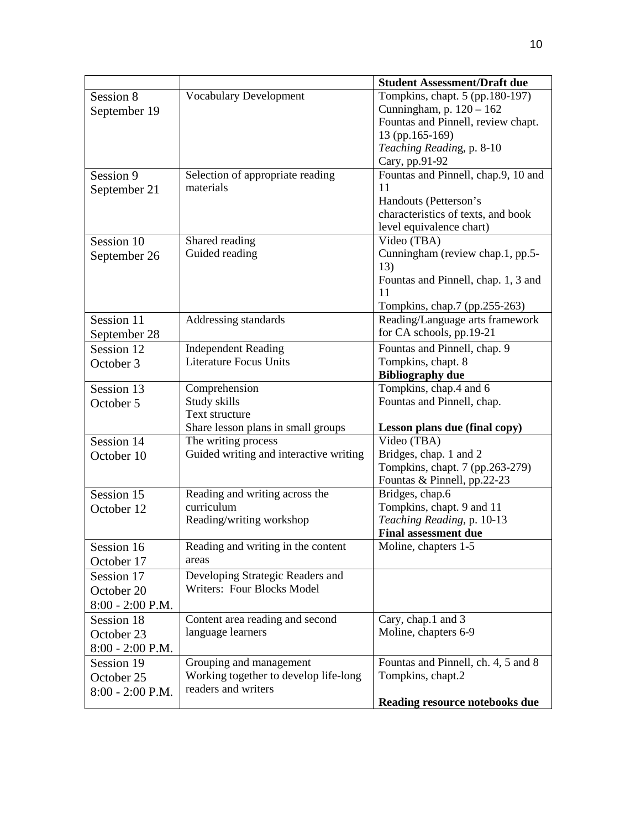|                    |                                              | <b>Student Assessment/Draft due</b>            |  |
|--------------------|----------------------------------------------|------------------------------------------------|--|
| Session 8          | <b>Vocabulary Development</b>                | Tompkins, chapt. 5 (pp.180-197)                |  |
| September 19       |                                              | Cunningham, p. 120 - 162                       |  |
|                    |                                              | Fountas and Pinnell, review chapt.             |  |
|                    |                                              | 13 (pp.165-169)                                |  |
|                    |                                              | Teaching Reading, p. 8-10                      |  |
|                    |                                              | Cary, pp.91-92                                 |  |
| Session 9          | Selection of appropriate reading             | Fountas and Pinnell, chap.9, 10 and            |  |
| September 21       | materials                                    | 11                                             |  |
|                    |                                              | Handouts (Petterson's                          |  |
|                    |                                              | characteristics of texts, and book             |  |
|                    |                                              | level equivalence chart)                       |  |
| Session 10         | Shared reading                               | Video (TBA)                                    |  |
| September 26       | Guided reading                               | Cunningham (review chap.1, pp.5-               |  |
|                    |                                              | 13)                                            |  |
|                    |                                              | Fountas and Pinnell, chap. 1, 3 and            |  |
|                    |                                              | 11                                             |  |
|                    |                                              | Tompkins, chap.7 (pp.255-263)                  |  |
| Session 11         | Addressing standards                         | Reading/Language arts framework                |  |
| September 28       |                                              | for CA schools, pp.19-21                       |  |
| Session 12         | <b>Independent Reading</b>                   | Fountas and Pinnell, chap. 9                   |  |
| October 3          | <b>Literature Focus Units</b>                | Tompkins, chapt. 8                             |  |
|                    |                                              | <b>Bibliography due</b>                        |  |
| Session 13         | Comprehension                                | Tompkins, chap.4 and 6                         |  |
| October 5          | Study skills                                 | Fountas and Pinnell, chap.                     |  |
|                    | Text structure                               |                                                |  |
|                    | Share lesson plans in small groups           | Lesson plans due (final copy)                  |  |
| Session 14         | The writing process                          | Video (TBA)                                    |  |
| October 10         | Guided writing and interactive writing       | Bridges, chap. 1 and 2                         |  |
|                    |                                              | Tompkins, chapt. 7 (pp.263-279)                |  |
| Session 15         |                                              | Fountas & Pinnell, pp.22-23<br>Bridges, chap.6 |  |
|                    | Reading and writing across the<br>curriculum | Tompkins, chapt. 9 and 11                      |  |
| October 12         | Reading/writing workshop                     | Teaching Reading, p. 10-13                     |  |
|                    |                                              | <b>Final assessment due</b>                    |  |
| Session 16         | Reading and writing in the content           | Moline, chapters 1-5                           |  |
| October 17         | areas                                        |                                                |  |
|                    |                                              |                                                |  |
| Session 17         | Developing Strategic Readers and             |                                                |  |
| October 20         | Writers: Four Blocks Model                   |                                                |  |
| 8:00 - 2:00 P.M.   |                                              |                                                |  |
| Session 18         | Content area reading and second              | Cary, chap.1 and 3                             |  |
| October 23         | language learners                            | Moline, chapters 6-9                           |  |
| $8:00 - 2:00$ P.M. |                                              |                                                |  |
| Session 19         | Grouping and management                      | Fountas and Pinnell, ch. 4, 5 and 8            |  |
| October 25         | Working together to develop life-long        | Tompkins, chapt.2                              |  |
| $8:00 - 2:00$ P.M. | readers and writers                          |                                                |  |
|                    |                                              | Reading resource notebooks due                 |  |